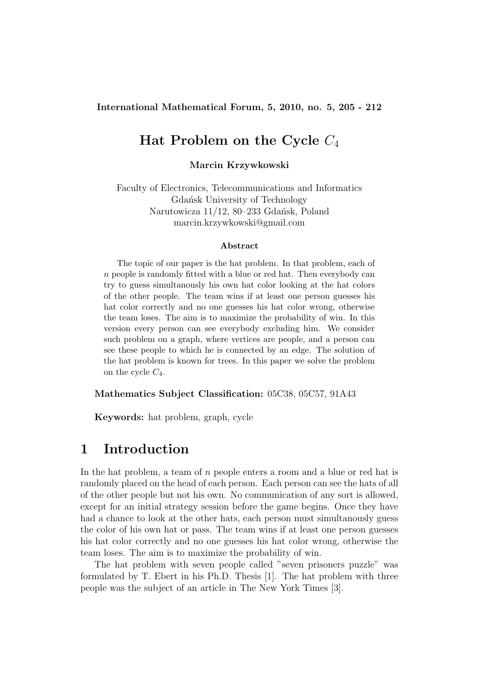International Mathematical Forum, 5, 2010, no. 5, 205 - 212

# Hat Problem on the Cycle  $C_4$

Marcin Krzywkowski

Faculty of Electronics, Telecommunications and Informatics Gdańsk University of Technology Narutowicza 11/12, 80–233 Gdańsk, Poland marcin.krzywkowski@gmail.com

#### Abstract

The topic of our paper is the hat problem. In that problem, each of n people is randomly fitted with a blue or red hat. Then everybody can try to guess simultanously his own hat color looking at the hat colors of the other people. The team wins if at least one person guesses his hat color correctly and no one guesses his hat color wrong, otherwise the team loses. The aim is to maximize the probability of win. In this version every person can see everybody excluding him. We consider such problem on a graph, where vertices are people, and a person can see these people to which he is connected by an edge. The solution of the hat problem is known for trees. In this paper we solve the problem on the cycle  $C_4$ .

Mathematics Subject Classification: 05C38, 05C57, 91A43

Keywords: hat problem, graph, cycle

#### 1 Introduction

In the hat problem, a team of n people enters a room and a blue or red hat is randomly placed on the head of each person. Each person can see the hats of all of the other people but not his own. No communication of any sort is allowed, except for an initial strategy session before the game begins. Once they have had a chance to look at the other hats, each person must simultanously guess the color of his own hat or pass. The team wins if at least one person guesses his hat color correctly and no one guesses his hat color wrong, otherwise the team loses. The aim is to maximize the probability of win.

The hat problem with seven people called "seven prisoners puzzle" was formulated by T. Ebert in his Ph.D. Thesis [1]. The hat problem with three people was the subject of an article in The New York Times [3].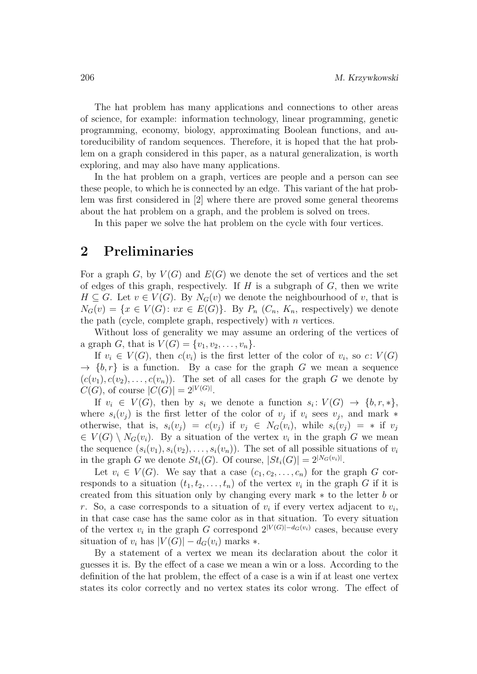The hat problem has many applications and connections to other areas of science, for example: information technology, linear programming, genetic programming, economy, biology, approximating Boolean functions, and autoreducibility of random sequences. Therefore, it is hoped that the hat problem on a graph considered in this paper, as a natural generalization, is worth exploring, and may also have many applications.

In the hat problem on a graph, vertices are people and a person can see these people, to which he is connected by an edge. This variant of the hat problem was first considered in [2] where there are proved some general theorems about the hat problem on a graph, and the problem is solved on trees.

In this paper we solve the hat problem on the cycle with four vertices.

### 2 Preliminaries

For a graph  $G$ , by  $V(G)$  and  $E(G)$  we denote the set of vertices and the set of edges of this graph, respectively. If  $H$  is a subgraph of  $G$ , then we write  $H \subseteq G$ . Let  $v \in V(G)$ . By  $N_G(v)$  we denote the neighbourhood of v, that is  $N_G(v) = \{x \in V(G): vx \in E(G)\}.$  By  $P_n(C_n, K_n,$  respectively) we denote the path (cycle, complete graph, respectively) with  $n$  vertices.

Without loss of generality we may assume an ordering of the vertices of a graph *G*, that is  $V(G) = \{v_1, v_2, ..., v_n\}.$ 

If  $v_i \in V(G)$ , then  $c(v_i)$  is the first letter of the color of  $v_i$ , so  $c: V(G)$  $\rightarrow \{b, r\}$  is a function. By a case for the graph G we mean a sequence  $(c(v_1), c(v_2), \ldots, c(v_n))$ . The set of all cases for the graph G we denote by  $C(G)$ , of course  $|C(G)| = 2^{|V(G)|}$ .

If  $v_i \in V(G)$ , then by  $s_i$  we denote a function  $s_i: V(G) \to \{b, r, *\},$ where  $s_i(v_j)$  is the first letter of the color of  $v_j$  if  $v_i$  sees  $v_j$ , and mark  $*$ otherwise, that is,  $s_i(v_j) = c(v_j)$  if  $v_j \in N_G(v_i)$ , while  $s_i(v_j) = *$  if  $v_j$  $\in V(G) \setminus N_G(v_i)$ . By a situation of the vertex  $v_i$  in the graph G we mean the sequence  $(s_i(v_1), s_i(v_2), \ldots, s_i(v_n))$ . The set of all possible situations of  $v_i$ in the graph G we denote  $St_i(G)$ . Of course,  $|St_i(G)| = 2^{|N_G(v_i)|}$ .

Let  $v_i \in V(G)$ . We say that a case  $(c_1, c_2, \ldots, c_n)$  for the graph G corresponds to a situation  $(t_1, t_2, \ldots, t_n)$  of the vertex  $v_i$  in the graph G if it is created from this situation only by changing every mark ∗ to the letter b or r. So, a case corresponds to a situation of  $v_i$  if every vertex adjacent to  $v_i$ , in that case case has the same color as in that situation. To every situation of the vertex  $v_i$  in the graph G correspond  $2^{|V(G)|-d_G(v_i)}$  cases, because every situation of  $v_i$  has  $|V(G)| - d_G(v_i)$  marks  $*$ .

By a statement of a vertex we mean its declaration about the color it guesses it is. By the effect of a case we mean a win or a loss. According to the definition of the hat problem, the effect of a case is a win if at least one vertex states its color correctly and no vertex states its color wrong. The effect of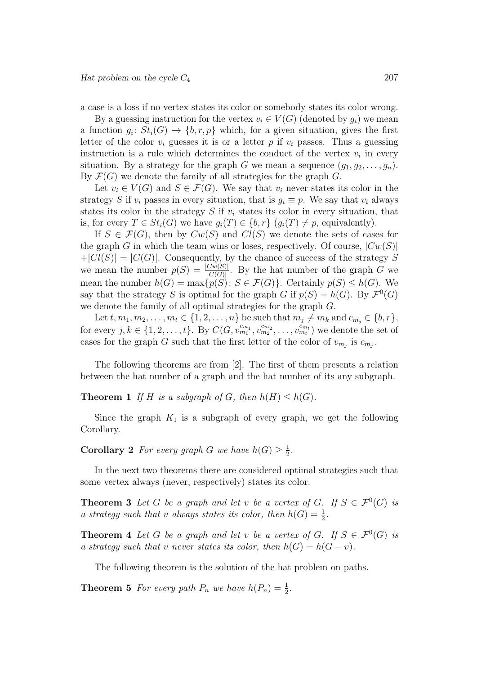a case is a loss if no vertex states its color or somebody states its color wrong.

By a guessing instruction for the vertex  $v_i \in V(G)$  (denoted by  $q_i$ ) we mean a function  $g_i: St_i(G) \to \{b, r, p\}$  which, for a given situation, gives the first letter of the color  $v_i$  guesses it is or a letter p if  $v_i$  passes. Thus a guessing instruction is a rule which determines the conduct of the vertex  $v_i$  in every situation. By a strategy for the graph G we mean a sequence  $(g_1, g_2, \ldots, g_n)$ . By  $\mathcal{F}(G)$  we denote the family of all strategies for the graph G.

Let  $v_i \in V(G)$  and  $S \in \mathcal{F}(G)$ . We say that  $v_i$  never states its color in the strategy S if  $v_i$  passes in every situation, that is  $g_i \equiv p$ . We say that  $v_i$  always states its color in the strategy  $S$  if  $v_i$  states its color in every situation, that is, for every  $T \in St_i(G)$  we have  $g_i(T) \in \{b, r\}$   $(g_i(T) \neq p$ , equivalently).

If  $S \in \mathcal{F}(G)$ , then by  $Cw(S)$  and  $Cl(S)$  we denote the sets of cases for the graph G in which the team wins or loses, respectively. Of course,  $|Cw(S)|$  $+|Cl(S)| = |C(G)|$ . Consequently, by the chance of success of the strategy S we mean the number  $p(S) = \frac{|C_w(S)|}{|C(G)|}$ . By the hat number of the graph G we mean the number  $h(G) = \max\{p(S) : S \in \mathcal{F}(G)\}\)$ . Certainly  $p(S) \leq h(G)$ . We say that the strategy S is optimal for the graph G if  $p(S) = h(G)$ . By  $\mathcal{F}^0(G)$ we denote the family of all optimal strategies for the graph G.

Let  $t, m_1, m_2, \ldots, m_t \in \{1, 2, \ldots, n\}$  be such that  $m_j \neq m_k$  and  $c_{m_j} \in \{b, r\},$ for every  $j, k \in \{1, 2, ..., t\}$ . By  $C(G, v_{m_1}^{c_{m_1}}, v_{m_2}^{c_{m_2}}, ..., v_{m_t}^{c_{m_t}})$  we denote the set of cases for the graph G such that the first letter of the color of  $v_{m_j}$  is  $c_{m_j}$ .

The following theorems are from [2]. The first of them presents a relation between the hat number of a graph and the hat number of its any subgraph.

**Theorem 1** If H is a subgraph of G, then  $h(H) \leq h(G)$ .

Since the graph  $K_1$  is a subgraph of every graph, we get the following Corollary.

**Corollary 2** For every graph G we have  $h(G) \geq \frac{1}{2}$  $\frac{1}{2}$ .

In the next two theorems there are considered optimal strategies such that some vertex always (never, respectively) states its color.

**Theorem 3** Let G be a graph and let v be a vertex of G. If  $S \in \mathcal{F}^0(G)$  is a strategy such that v always states its color, then  $h(G) = \frac{1}{2}$ .

**Theorem 4** Let G be a graph and let v be a vertex of G. If  $S \in \mathcal{F}^0(G)$  is a strategy such that v never states its color, then  $h(G) = h(G - v)$ .

The following theorem is the solution of the hat problem on paths.

**Theorem 5** For every path  $P_n$  we have  $h(P_n) = \frac{1}{2}$ .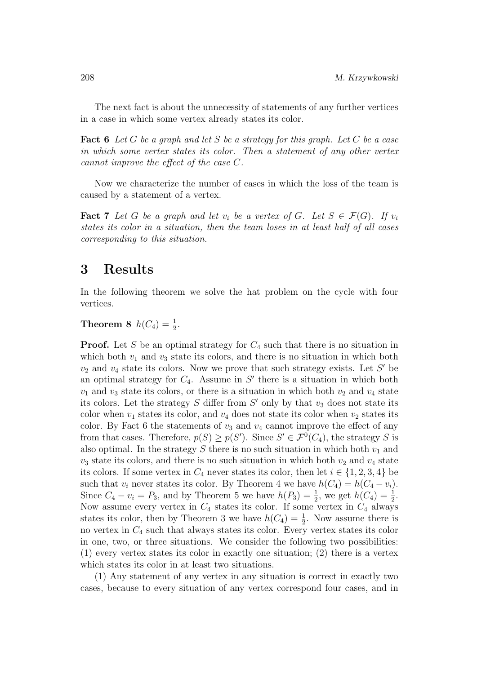The next fact is about the unnecessity of statements of any further vertices in a case in which some vertex already states its color.

**Fact 6** Let G be a graph and let S be a strategy for this graph. Let C be a case in which some vertex states its color. Then a statement of any other vertex cannot improve the effect of the case C.

Now we characterize the number of cases in which the loss of the team is caused by a statement of a vertex.

**Fact 7** Let G be a graph and let  $v_i$  be a vertex of G. Let  $S \in \mathcal{F}(G)$ . If  $v_i$ states its color in a situation, then the team loses in at least half of all cases corresponding to this situation.

#### 3 Results

In the following theorem we solve the hat problem on the cycle with four vertices.

## **Theorem 8**  $h(C_4) = \frac{1}{2}$ .

**Proof.** Let S be an optimal strategy for  $C_4$  such that there is no situation in which both  $v_1$  and  $v_3$  state its colors, and there is no situation in which both  $v_2$  and  $v_4$  state its colors. Now we prove that such strategy exists. Let S' be an optimal strategy for  $C_4$ . Assume in  $S'$  there is a situation in which both  $v_1$  and  $v_3$  state its colors, or there is a situation in which both  $v_2$  and  $v_4$  state its colors. Let the strategy  $S$  differ from  $S'$  only by that  $v_3$  does not state its color when  $v_1$  states its color, and  $v_4$  does not state its color when  $v_2$  states its color. By Fact 6 the statements of  $v_3$  and  $v_4$  cannot improve the effect of any from that cases. Therefore,  $p(S) \geq p(S')$ . Since  $S' \in \mathcal{F}^0(C_4)$ , the strategy S is also optimal. In the strategy  $S$  there is no such situation in which both  $v_1$  and  $v_3$  state its colors, and there is no such situation in which both  $v_2$  and  $v_4$  state its colors. If some vertex in  $C_4$  never states its color, then let  $i \in \{1, 2, 3, 4\}$  be such that  $v_i$  never states its color. By Theorem 4 we have  $h(C_4) = h(C_4 - v_i)$ . Since  $C_4 - v_i = P_3$ , and by Theorem 5 we have  $h(P_3) = \frac{1}{2}$ , we get  $h(C_4) = \frac{1}{2}$ . Now assume every vertex in  $C_4$  states its color. If some vertex in  $C_4$  always states its color, then by Theorem 3 we have  $h(C_4) = \frac{1}{2}$ . Now assume there is no vertex in  $C_4$  such that always states its color. Every vertex states its color in one, two, or three situations. We consider the following two possibilities: (1) every vertex states its color in exactly one situation; (2) there is a vertex which states its color in at least two situations.

(1) Any statement of any vertex in any situation is correct in exactly two cases, because to every situation of any vertex correspond four cases, and in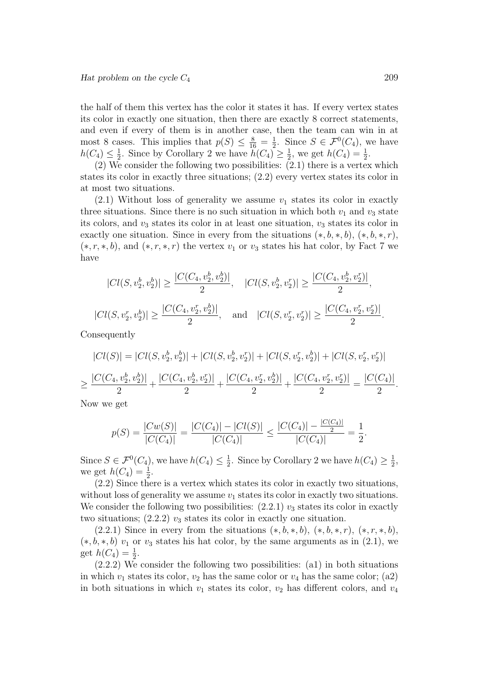the half of them this vertex has the color it states it has. If every vertex states its color in exactly one situation, then there are exactly 8 correct statements, and even if every of them is in another case, then the team can win in at most 8 cases. This implies that  $p(S) \leq \frac{8}{16} = \frac{1}{2}$  $\frac{1}{2}$ . Since  $S \in \mathcal{F}^0(C_4)$ , we have  $h(C_4) \leq \frac{1}{2}$  $\frac{1}{2}$ . Since by Corollary 2 we have  $\widetilde{h}(C_4) \geq \frac{1}{2}$  $\frac{1}{2}$ , we get  $h(C_4) = \frac{1}{2}$ .

(2) We consider the following two possibilities:  $(2.1)$  there is a vertex which states its color in exactly three situations; (2.2) every vertex states its color in at most two situations.

 $(2.1)$  Without loss of generality we assume  $v_1$  states its color in exactly three situations. Since there is no such situation in which both  $v_1$  and  $v_3$  state its colors, and  $v_3$  states its color in at least one situation,  $v_3$  states its color in exactly one situation. Since in every from the situations  $(*, b, *, b), (*, b, *, r)$ ,  $(*, r, *, b)$ , and  $(*, r, *, r)$  the vertex  $v_1$  or  $v_3$  states his hat color, by Fact 7 we have

$$
|Cl(S, v_2^b, v_2^b)| \ge \frac{|C(C_4, v_2^b, v_2^b)|}{2}, \quad |Cl(S, v_2^b, v_2^r)| \ge \frac{|C(C_4, v_2^b, v_2^r)|}{2},
$$
  

$$
|Cl(S, v_2^r, v_2^b)| \ge \frac{|C(C_4, v_2^r, v_2^b)|}{2}, \quad \text{and} \quad |Cl(S, v_2^r, v_2^r)| \ge \frac{|C(C_4, v_2^r, v_2^r)|}{2}.
$$

Consequently

$$
|Cl(S)| = |Cl(S, v_2^b, v_2^b)| + |Cl(S, v_2^b, v_2^r)| + |Cl(S, v_2^r, v_2^b)| + |Cl(S, v_2^r, v_2^r)|
$$
  
\n
$$
\geq \frac{|C(C_4, v_2^b, v_2^b)|}{2} + \frac{|C(C_4, v_2^b, v_2^r)|}{2} + \frac{|C(C_4, v_2^r, v_2^b)|}{2} + \frac{|C(C_4, v_2^r, v_2^r)|}{2} = \frac{|C(C_4)|}{2}.
$$

Now we get

$$
p(S) = \frac{|Cw(S)|}{|C(C_4)|} = \frac{|C(C_4)| - |Cl(S)|}{|C(C_4)|} \le \frac{|C(C_4)| - \frac{|C(C_4)|}{2}}{|C(C_4)|} = \frac{1}{2}.
$$

Since  $S \in \mathcal{F}^0(C_4)$ , we have  $h(C_4) \leq \frac{1}{2}$  $\frac{1}{2}$ . Since by Corollary 2 we have  $h(C_4) \geq \frac{1}{2}$  $\frac{1}{2}$ , we get  $h(C_4) = \frac{1}{2}$ .

(2.2) Since there is a vertex which states its color in exactly two situations, without loss of generality we assume  $v_1$  states its color in exactly two situations. We consider the following two possibilities:  $(2.2.1)$   $v_3$  states its color in exactly two situations;  $(2.2.2)$   $v_3$  states its color in exactly one situation.

 $(2.2.1)$  Since in every from the situations  $(*, b, *, b), (*, b, *, r), (*, r, *, b),$  $(*, b, *, b)$  v<sub>1</sub> or v<sub>3</sub> states his hat color, by the same arguments as in  $(2.1)$ , we get  $h(C_4) = \frac{1}{2}$ .

(2.2.2) We consider the following two possibilities: (a1) in both situations in which  $v_1$  states its color,  $v_2$  has the same color or  $v_4$  has the same color; (a2) in both situations in which  $v_1$  states its color,  $v_2$  has different colors, and  $v_4$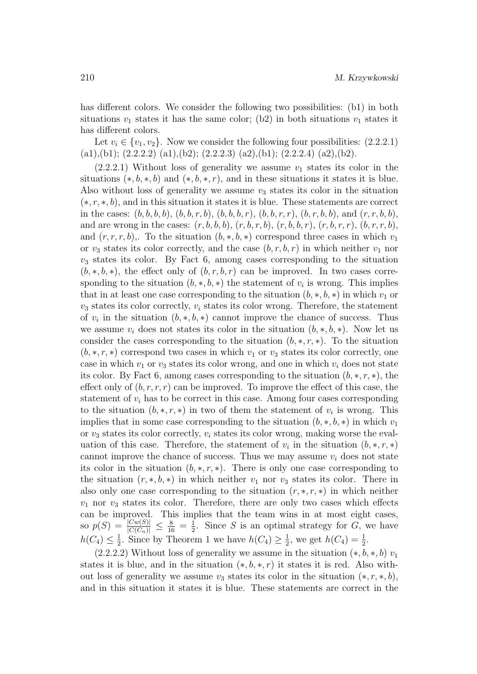has different colors. We consider the following two possibilities: (b1) in both situations  $v_1$  states it has the same color; (b2) in both situations  $v_1$  states it has different colors.

Let  $v_i \in \{v_1, v_2\}$ . Now we consider the following four possibilities:  $(2.2.2.1)$ (a1),(b1); (2.2.2.2) (a1),(b2); (2.2.2.3) (a2),(b1); (2.2.2.4) (a2),(b2).

 $(2.2.2.1)$  Without loss of generality we assume  $v_1$  states its color in the situations  $(*, b, *, b)$  and  $(*, b, *, r)$ , and in these situations it states it is blue. Also without loss of generality we assume  $v_3$  states its color in the situation  $(*, r, *, b)$ , and in this situation it states it is blue. These statements are correct in the cases:  $(b, b, b, b), (b, b, r, b), (b, b, r), (b, b, r, r), (b, r, b, b),$  and  $(r, r, b, b),$ and are wrong in the cases:  $(r, b, b, b), (r, b, r, b), (r, b, b, r), (r, b, r, r), (b, r, r, b),$ and  $(r, r, r, b)$ . To the situation  $(b, *, b, *)$  correspond three cases in which  $v_1$ or  $v_3$  states its color correctly, and the case  $(b, r, b, r)$  in which neither  $v_1$  nor  $v_3$  states its color. By Fact 6, among cases corresponding to the situation  $(b, *, b, *)$ , the effect only of  $(b, r, b, r)$  can be improved. In two cases corresponding to the situation  $(b, *, b, *)$  the statement of  $v_i$  is wrong. This implies that in at least one case corresponding to the situation  $(b, *, b, *)$  in which  $v_1$  or  $v_3$  states its color correctly,  $v_i$  states its color wrong. Therefore, the statement of  $v_i$  in the situation  $(b, *, b, *)$  cannot improve the chance of success. Thus we assume  $v_i$  does not states its color in the situation  $(b, *, b, *)$ . Now let us consider the cases corresponding to the situation  $(b, \ast, r, \ast)$ . To the situation  $(b, \ast, r, \ast)$  correspond two cases in which  $v_1$  or  $v_3$  states its color correctly, one case in which  $v_1$  or  $v_3$  states its color wrong, and one in which  $v_i$  does not state its color. By Fact 6, among cases corresponding to the situation  $(b, \ast, r, \ast)$ , the effect only of  $(b, r, r, r)$  can be improved. To improve the effect of this case, the statement of  $v_i$  has to be correct in this case. Among four cases corresponding to the situation  $(b, \ast, r, \ast)$  in two of them the statement of  $v_i$  is wrong. This implies that in some case corresponding to the situation  $(b, *, b, *)$  in which  $v_1$ or  $v_3$  states its color correctly,  $v_i$  states its color wrong, making worse the evaluation of this case. Therefore, the statement of  $v_i$  in the situation  $(b, \ast, r, \ast)$ cannot improve the chance of success. Thus we may assume  $v_i$  does not state its color in the situation  $(b, \ast, r, \ast)$ . There is only one case corresponding to the situation  $(r, *, b, *)$  in which neither  $v_1$  nor  $v_3$  states its color. There in also only one case corresponding to the situation  $(r, *, r, *)$  in which neither  $v_1$  nor  $v_3$  states its color. Therefore, there are only two cases which effects can be improved. This implies that the team wins in at most eight cases, so  $p(S) = \frac{|Cw(S)|}{|C(C_n)|} \leq \frac{8}{16} = \frac{1}{2}$  $\frac{1}{2}$ . Since S is an optimal strategy for G, we have  $h(C_4) \leq \frac{1}{2}$  $\frac{1}{2}$ . Since by Theorem 1 we have  $h(C_4) \geq \frac{1}{2}$  $\frac{1}{2}$ , we get  $h(C_4) = \frac{1}{2}$ .

 $(2.2.2.2)$  Without loss of generality we assume in the situation  $(*, b, *, b)$   $v_1$ states it is blue, and in the situation  $(*, b, *, r)$  it states it is red. Also without loss of generality we assume  $v_3$  states its color in the situation  $(*, r, *, b)$ , and in this situation it states it is blue. These statements are correct in the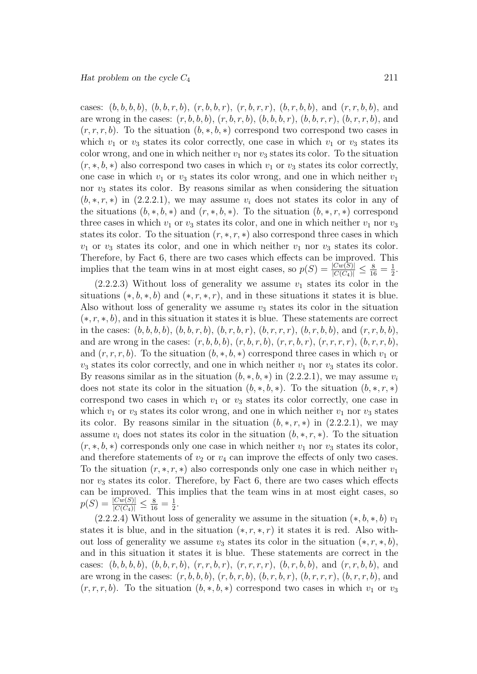cases:  $(b, b, b, b), (b, b, r, b), (r, b, b, r), (r, b, r, r), (b, r, b, b),$  and  $(r, r, b, b)$ , and are wrong in the cases:  $(r, b, b, b), (r, b, r, b), (b, b, b, r), (b, b, r, r), (b, r, r, b),$  and  $(r, r, r, b)$ . To the situation  $(b, *, b, *)$  correspond two correspond two cases in which  $v_1$  or  $v_3$  states its color correctly, one case in which  $v_1$  or  $v_3$  states its color wrong, and one in which neither  $v_1$  nor  $v_3$  states its color. To the situation  $(r, *, b, *)$  also correspond two cases in which  $v_1$  or  $v_3$  states its color correctly, one case in which  $v_1$  or  $v_3$  states its color wrong, and one in which neither  $v_1$ nor  $v_3$  states its color. By reasons similar as when considering the situation  $(b, \ast, r, \ast)$  in  $(2.2.2.1)$ , we may assume  $v_i$  does not states its color in any of the situations  $(b, *, b, *)$  and  $(r, *, b, *)$ . To the situation  $(b, *, r, *)$  correspond three cases in which  $v_1$  or  $v_3$  states its color, and one in which neither  $v_1$  nor  $v_3$ states its color. To the situation  $(r, \ast, r, \ast)$  also correspond three cases in which  $v_1$  or  $v_3$  states its color, and one in which neither  $v_1$  nor  $v_3$  states its color. Therefore, by Fact 6, there are two cases which effects can be improved. This implies that the team wins in at most eight cases, so  $p(S) = \frac{|Cw(S)|}{|C(C_4)|} \le \frac{8}{16} = \frac{1}{2}$  $rac{1}{2}$ .

 $(2.2.2.3)$  Without loss of generality we assume  $v_1$  states its color in the situations  $(*, b, *, b)$  and  $(*, r, *, r)$ , and in these situations it states it is blue. Also without loss of generality we assume  $v_3$  states its color in the situation  $(*, r, *, b)$ , and in this situation it states it is blue. These statements are correct in the cases:  $(b, b, b, b), (b, b, r, b), (b, r, b, r), (b, r, r, r), (b, r, b, b),$  and  $(r, r, b, b),$ and are wrong in the cases:  $(r, b, b, b), (r, b, r, b), (r, r, b, r), (r, r, r, r), (b, r, r, b),$ and  $(r, r, r, b)$ . To the situation  $(b, *, b, *)$  correspond three cases in which  $v_1$  or  $v_3$  states its color correctly, and one in which neither  $v_1$  nor  $v_3$  states its color. By reasons similar as in the situation  $(b, *, b, *)$  in  $(2.2.2.1)$ , we may assume  $v_i$ does not state its color in the situation  $(b, *, b, *)$ . To the situation  $(b, *, r, *)$ correspond two cases in which  $v_1$  or  $v_3$  states its color correctly, one case in which  $v_1$  or  $v_3$  states its color wrong, and one in which neither  $v_1$  nor  $v_3$  states its color. By reasons similar in the situation  $(b, *, r, *)$  in  $(2.2.2.1)$ , we may assume  $v_i$  does not states its color in the situation  $(b, \ast, r, \ast)$ . To the situation  $(r, *, b, *)$  corresponds only one case in which neither  $v_1$  nor  $v_3$  states its color, and therefore statements of  $v_2$  or  $v_4$  can improve the effects of only two cases. To the situation  $(r, *, r, *)$  also corresponds only one case in which neither  $v_1$ nor  $v_3$  states its color. Therefore, by Fact 6, there are two cases which effects can be improved. This implies that the team wins in at most eight cases, so  $p(S) = \frac{|Cw(S)|}{|C(C_4)|} \le \frac{8}{16} = \frac{1}{2}$  $\frac{1}{2}$ .

(2.2.2.4) Without loss of generality we assume in the situation  $(*, b, *, b)$   $v_1$ states it is blue, and in the situation  $(*, r, *, r)$  it states it is red. Also without loss of generality we assume  $v_3$  states its color in the situation  $(*, r, *, b)$ , and in this situation it states it is blue. These statements are correct in the cases:  $(b, b, b, b), (b, b, r, b), (r, r, b, r), (r, r, r, r), (b, r, b, b),$  and  $(r, r, b, b),$  and are wrong in the cases:  $(r, b, b, b), (r, b, r, b), (b, r, b, r), (b, r, r, b), (b, r, r, b),$  and  $(r, r, r, b)$ . To the situation  $(b, *, b, *)$  correspond two cases in which  $v_1$  or  $v_3$